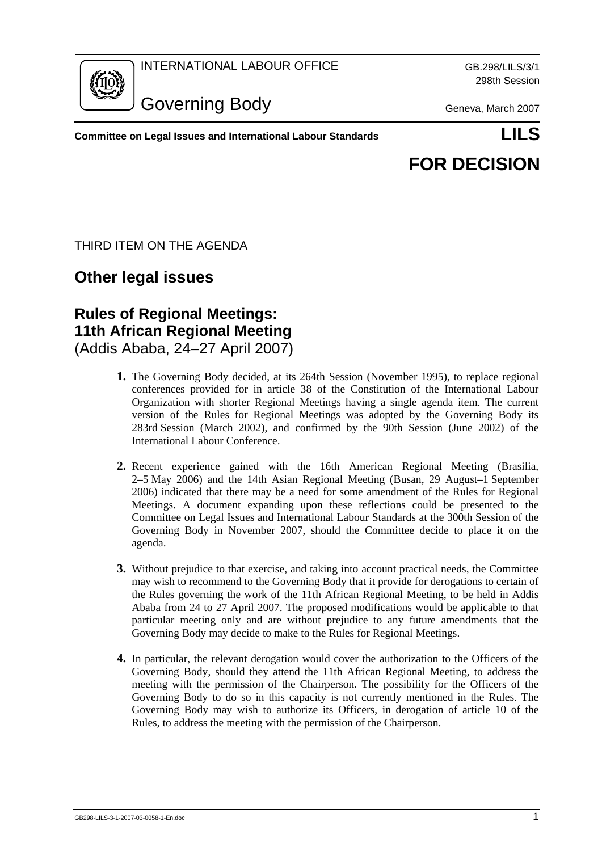

INTERNATIONAL LABOUR OFFICE GB.298/LILS/3/1

Governing Body Geneva, March 2007

298th Session

**Committee on Legal Issues and International Labour Standards LILS**

## **FOR DECISION**

THIRD ITEM ON THE AGENDA

## **Other legal issues**

## **Rules of Regional Meetings: 11th African Regional Meeting**  (Addis Ababa, 24–27 April 2007)

- **1.** The Governing Body decided, at its 264th Session (November 1995), to replace regional conferences provided for in article 38 of the Constitution of the International Labour Organization with shorter Regional Meetings having a single agenda item. The current version of the Rules for Regional Meetings was adopted by the Governing Body its 283rd Session (March 2002), and confirmed by the 90th Session (June 2002) of the International Labour Conference.
- **2.** Recent experience gained with the 16th American Regional Meeting (Brasilia, 2–5 May 2006) and the 14th Asian Regional Meeting (Busan, 29 August–1 September 2006) indicated that there may be a need for some amendment of the Rules for Regional Meetings. A document expanding upon these reflections could be presented to the Committee on Legal Issues and International Labour Standards at the 300th Session of the Governing Body in November 2007, should the Committee decide to place it on the agenda.
- **3.** Without prejudice to that exercise, and taking into account practical needs, the Committee may wish to recommend to the Governing Body that it provide for derogations to certain of the Rules governing the work of the 11th African Regional Meeting, to be held in Addis Ababa from 24 to 27 April 2007. The proposed modifications would be applicable to that particular meeting only and are without prejudice to any future amendments that the Governing Body may decide to make to the Rules for Regional Meetings.
- **4.** In particular, the relevant derogation would cover the authorization to the Officers of the Governing Body, should they attend the 11th African Regional Meeting, to address the meeting with the permission of the Chairperson. The possibility for the Officers of the Governing Body to do so in this capacity is not currently mentioned in the Rules. The Governing Body may wish to authorize its Officers, in derogation of article 10 of the Rules, to address the meeting with the permission of the Chairperson.